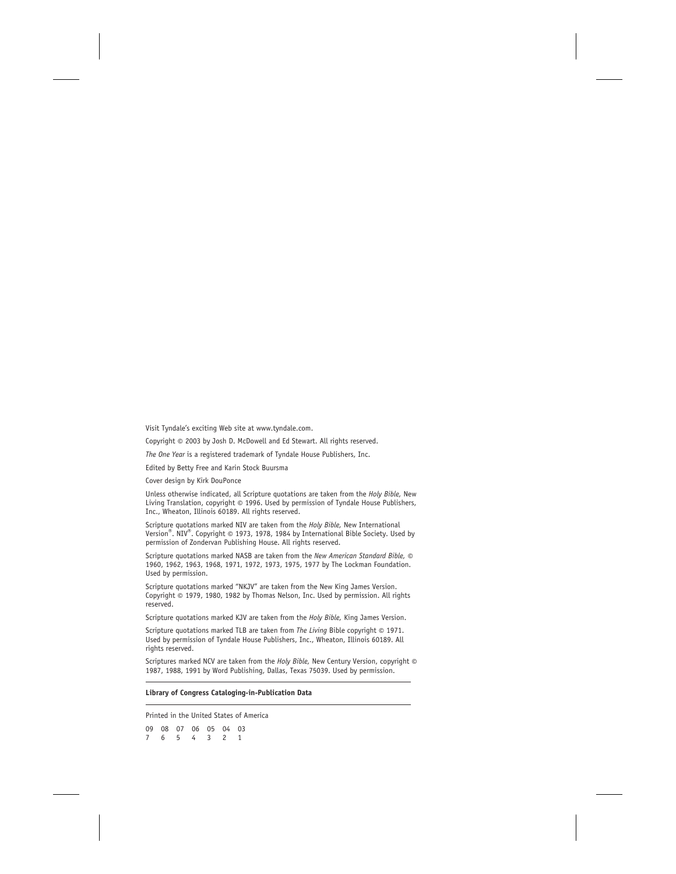Visit Tyndale's exciting Web site at www.tyndale.com.

Copyright © 2003 by Josh D. McDowell and Ed Stewart. All rights reserved.

*The One Year* is a registered trademark of Tyndale House Publishers, Inc.

Edited by Betty Free and Karin Stock Buursma

Cover design by Kirk DouPonce

Unless otherwise indicated, all Scripture quotations are taken from the *Holy Bible,* New Living Translation, copyright © 1996. Used by permission of Tyndale House Publishers, Inc., Wheaton, Illinois 60189. All rights reserved.

Scripture quotations marked NIV are taken from the *Holy Bible,* New International Version®. NIV®. Copyright © 1973, 1978, 1984 by International Bible Society. Used by permission of Zondervan Publishing House. All rights reserved.

Scripture quotations marked NASB are taken from the *New American Standard Bible*, © 1962, 1963, 1968, 1971, 1972, 1973, 1977, 1977 by The Lockman Foundation. Used by permission.

Scripture quotations marked "NKJV" are taken from the New King James Version. Copyright © 1979, 1980, 1982 by Thomas Nelson, Inc. Used by permission. All rights reserved.

Scripture quotations marked KJV are taken from the *Holy Bible,* King James Version.

Scripture quotations marked TLB are taken from *The Living* Bible copyright © 1971. Used by permission of Tyndale House Publishers, Inc., Wheaton, Illinois 60189. All rights reserved.

Scriptures marked NCV are taken from the *Holy Bible,* New Century Version, copyright ©<br>1987, 1988, 1991 by Word Publishing, Dallas, Texas 75039. Used by permission.

#### **Library of Congress Cataloging-in-Publication Data**

Printed in the United States of America

|  |  | 09 08 07 06 05 04 03 |  |
|--|--|----------------------|--|
|  |  | 7 6 5 4 3 2 1        |  |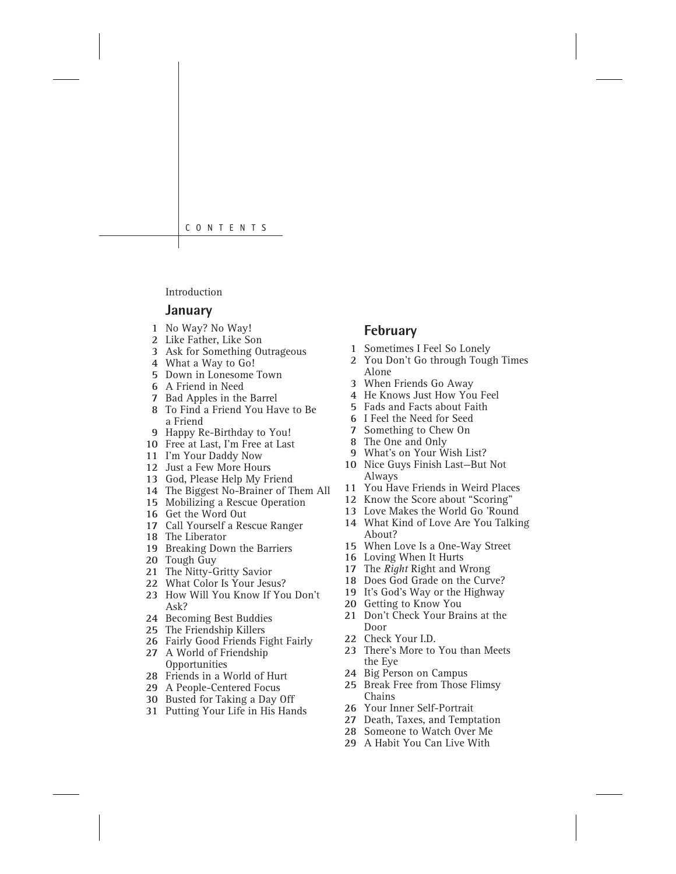CONTENTS

Introduction

### **January**

- No Way? No Way!
- Like Father, Like Son
- Ask for Something Outrageous
- What a Way to Go!
- Down in Lonesome Town
- A Friend in Need
- Bad Apples in the Barrel
- To Find a Friend You Have to Be a Friend
- Happy Re-Birthday to You!
- Free at Last, I'm Free at Last
- I'm Your Daddy Now
- Just a Few More Hours
- God, Please Help My Friend
- The Biggest No-Brainer of Them All
- Mobilizing a Rescue Operation
- Get the Word Out
- Call Yourself a Rescue Ranger
- The Liberator
- Breaking Down the Barriers
- Tough Guy
- The Nitty-Gritty Savior
- What Color Is Your Jesus?
- How Will You Know If You Don't Ask?
- Becoming Best Buddies
- The Friendship Killers
- Fairly Good Friends Fight Fairly
- A World of Friendship **Opportunities**
- Friends in a World of Hurt
- A People-Centered Focus
- Busted for Taking a Day Off
- Putting Your Life in His Hands

### **February**

- Sometimes I Feel So Lonely
- You Don't Go through Tough Times Alone
- When Friends Go Away
- He Knows Just How You Feel
- Fads and Facts about Faith
- I Feel the Need for Seed
- Something to Chew On
- The One and Only
- What's on Your Wish List?
- Nice Guys Finish Last—But Not Always
- You Have Friends in Weird Places
- Know the Score about "Scoring"
- Love Makes the World Go 'Round
- What Kind of Love Are You Talking About?
- When Love Is a One-Way Street
- Loving When It Hurts
- The *Right* Right and Wrong
- Does God Grade on the Curve?
- It's God's Way or the Highway
- Getting to Know You
- Don't Check Your Brains at the Door
- Check Your I.D.
- There's More to You than Meets the Eye
- Big Person on Campus
- Break Free from Those Flimsy Chains
- Your Inner Self-Portrait
- Death, Taxes, and Temptation
- Someone to Watch Over Me
- A Habit You Can Live With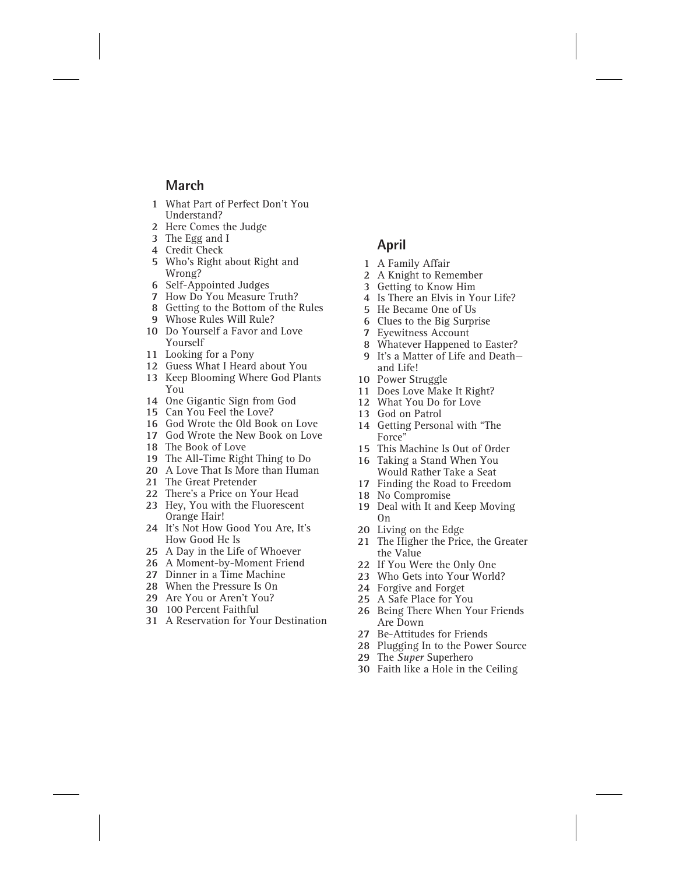## **March**

- What Part of Perfect Don't You Understand?
- Here Comes the Judge
- The Egg and I
- Credit Check
- Who's Right about Right and Wrong?
- Self-Appointed Judges
- How Do You Measure Truth?
- Getting to the Bottom of the Rules
- Whose Rules Will Rule?
- Do Yourself a Favor and Love Yourself
- Looking for a Pony
- Guess What I Heard about You
- Keep Blooming Where God Plants You
- One Gigantic Sign from God
- Can You Feel the Love?
- God Wrote the Old Book on Love
- God Wrote the New Book on Love
- The Book of Love
- The All-Time Right Thing to Do
- A Love That Is More than Human
- The Great Pretender
- There's a Price on Your Head
- Hey, You with the Fluorescent Orange Hair!
- It's Not How Good You Are, It's How Good He Is
- A Day in the Life of Whoever
- A Moment-by-Moment Friend
- Dinner in a Time Machine
- When the Pressure Is On
- Are You or Aren't You?
- 100 Percent Faithful
- A Reservation for Your Destination

# **April**

- A Family Affair
- A Knight to Remember
- Getting to Know Him
- Is There an Elvis in Your Life?
- He Became One of Us
- Clues to the Big Surprise
- Eyewitness Account
- Whatever Happened to Easter?
- It's a Matter of Life and Death and Life!
- Power Struggle
- Does Love Make It Right?
- What You Do for Love
- God on Patrol
- Getting Personal with "The Force"
- This Machine Is Out of Order
- Taking a Stand When You Would Rather Take a Seat
- Finding the Road to Freedom
- No Compromise
- Deal with It and Keep Moving On
- Living on the Edge
- The Higher the Price, the Greater the Value
- If You Were the Only One
- Who Gets into Your World?
- Forgive and Forget
- A Safe Place for You
- Being There When Your Friends Are Down
- Be-Attitudes for Friends
- Plugging In to the Power Source
- The *Super* Superhero
- Faith like a Hole in the Ceiling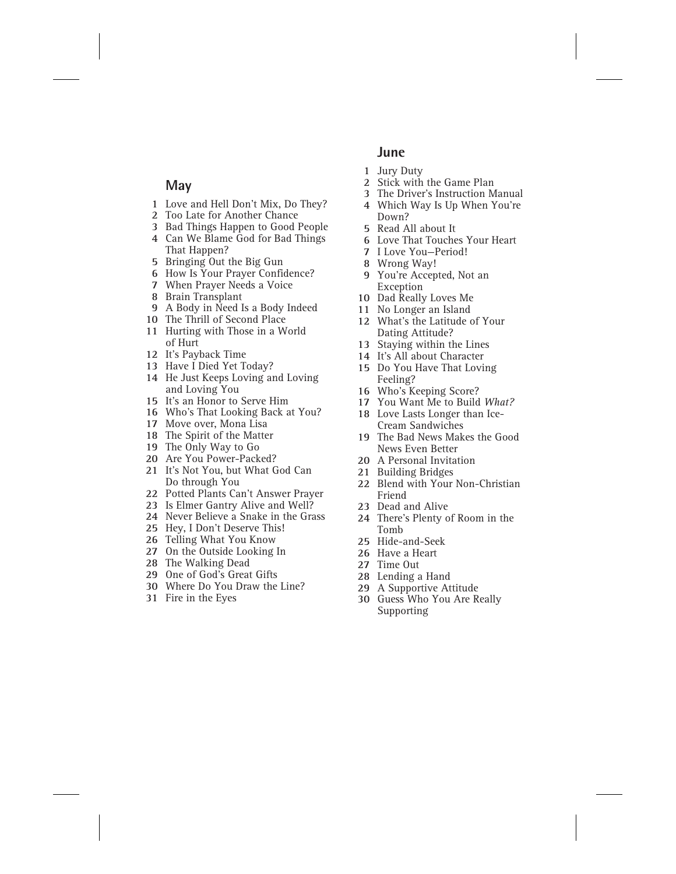## **May**

- Love and Hell Don't Mix, Do They?
- Too Late for Another Chance
- Bad Things Happen to Good People
- Can We Blame God for Bad Things That Happen?
- Bringing Out the Big Gun
- How Is Your Prayer Confidence?
- When Prayer Needs a Voice
- Brain Transplant
- A Body in Need Is a Body Indeed
- The Thrill of Second Place
- Hurting with Those in a World of Hurt
- It's Payback Time
- Have I Died Yet Today?
- He Just Keeps Loving and Loving and Loving You
- It's an Honor to Serve Him
- Who's That Looking Back at You?
- Move over, Mona Lisa
- The Spirit of the Matter
- The Only Way to Go
- Are You Power-Packed?
- It's Not You, but What God Can Do through You
- Potted Plants Can't Answer Prayer
- Is Elmer Gantry Alive and Well?
- Never Believe a Snake in the Grass
- Hey, I Don't Deserve This!
- Telling What You Know
- On the Outside Looking In
- The Walking Dead
- One of God's Great Gifts
- Where Do You Draw the Line?
- Fire in the Eyes

### **June**

- Jury Duty
- Stick with the Game Plan
- The Driver's Instruction Manual
- Which Way Is Up When You're Down?
- Read All about It
- Love That Touches Your Heart
- I Love You—Period!
- Wrong Way!
- You're Accepted, Not an Exception
- Dad Really Loves Me
- No Longer an Island
- What's the Latitude of Your Dating Attitude?
- Staying within the Lines
- It's All about Character
- Do You Have That Loving Feeling?
- Who's Keeping Score?
- You Want Me to Build *What?*
- Love Lasts Longer than Ice-Cream Sandwiches
- The Bad News Makes the Good News Even Better
- A Personal Invitation
- Building Bridges
- Blend with Your Non-Christian Friend
- Dead and Alive
- There's Plenty of Room in the Tomb
- Hide-and-Seek
- Have a Heart
- Time Out
- Lending a Hand
- A Supportive Attitude
- Guess Who You Are Really Supporting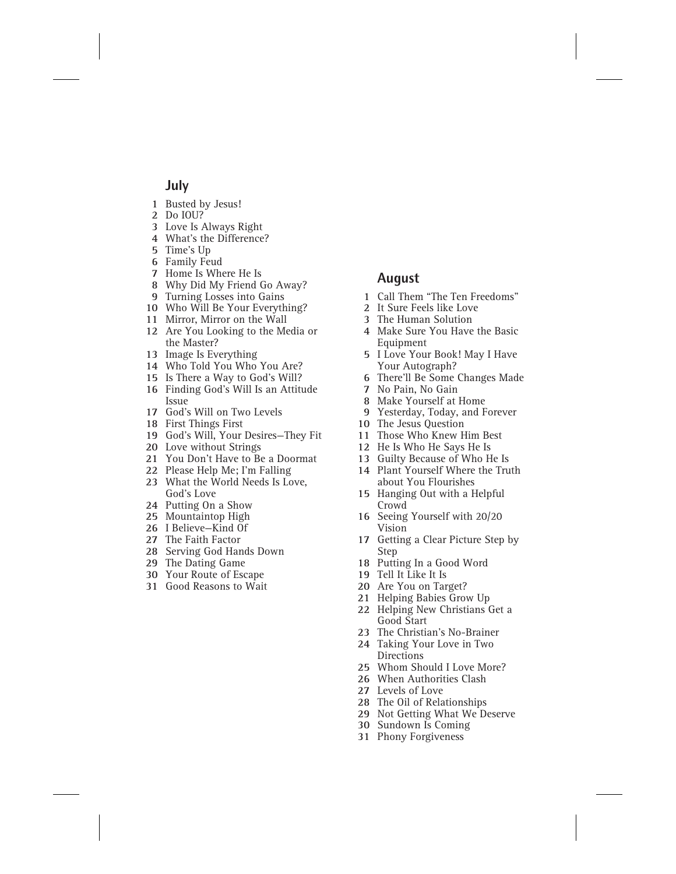## **July**

- Busted by Jesus!
- Do IOU?
- Love Is Always Right
- What's the Difference?
- Time's Up
- Family Feud
- Home Is Where He Is
- Why Did My Friend Go Away?
- Turning Losses into Gains
- Who Will Be Your Everything?
- Mirror, Mirror on the Wall
- Are You Looking to the Media or the Master?
- Image Is Everything
- Who Told You Who You Are?
- Is There a Way to God's Will?
- Finding God's Will Is an Attitude Issue
- God's Will on Two Levels
- First Things First
- God's Will, Your Desires—They Fit
- Love without Strings
- You Don't Have to Be a Doormat
- Please Help Me; I'm Falling
- What the World Needs Is Love, God's Love
- Putting On a Show
- Mountaintop High
- I Believe—Kind Of
- The Faith Factor
- Serving God Hands Down
- The Dating Game
- Your Route of Escape
- Good Reasons to Wait

# **August**

- Call Them "The Ten Freedoms"
- It Sure Feels like Love
- The Human Solution
- Make Sure You Have the Basic Equipment
- I Love Your Book! May I Have Your Autograph?
- There'll Be Some Changes Made
- No Pain, No Gain
- Make Yourself at Home
- Yesterday, Today, and Forever
- The Jesus Question
- Those Who Knew Him Best
- He Is Who He Says He Is
- Guilty Because of Who He Is
- Plant Yourself Where the Truth about You Flourishes
- Hanging Out with a Helpful Crowd
- Seeing Yourself with 20/20 Vision
- Getting a Clear Picture Step by Step
- Putting In a Good Word
- Tell It Like It Is
- Are You on Target?
- Helping Babies Grow Up
- Helping New Christians Get a Good Start
- The Christian's No-Brainer
- Taking Your Love in Two **Directions**
- Whom Should I Love More?
- When Authorities Clash
- Levels of Love
- The Oil of Relationships
- Not Getting What We Deserve
- Sundown Is Coming
- Phony Forgiveness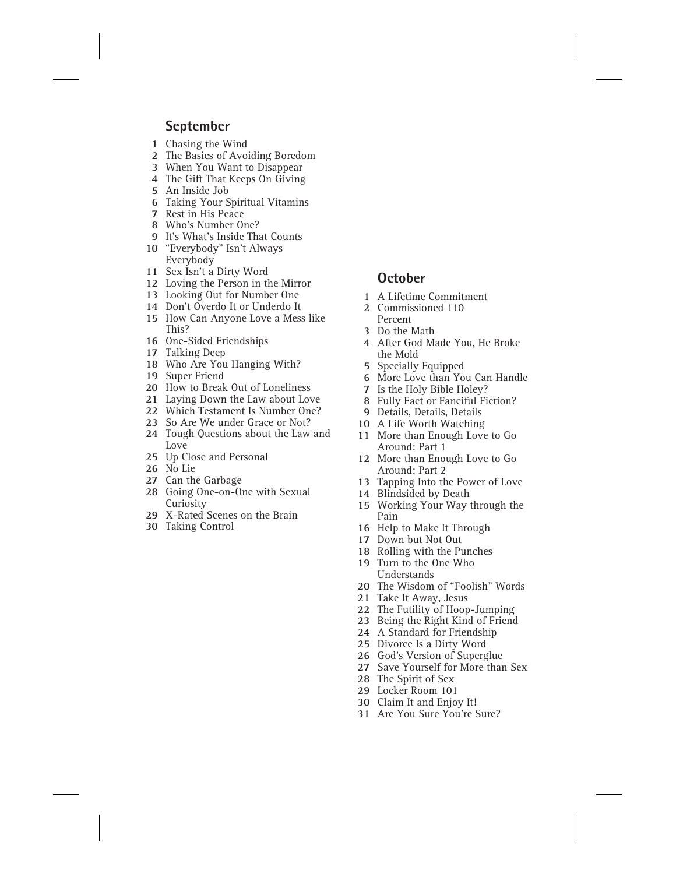# **September**

- Chasing the Wind
- The Basics of Avoiding Boredom
- When You Want to Disappear
- The Gift That Keeps On Giving
- An Inside Job
- Taking Your Spiritual Vitamins
- Rest in His Peace
- Who's Number One?
- It's What's Inside That Counts
- "Everybody" Isn't Always Everybody
- Sex Isn't a Dirty Word
- Loving the Person in the Mirror
- Looking Out for Number One
- Don't Overdo It or Underdo It
- How Can Anyone Love a Mess like This?
- One-Sided Friendships
- Talking Deep
- Who Are You Hanging With?
- Super Friend
- How to Break Out of Loneliness
- Laying Down the Law about Love
- Which Testament Is Number One?
- So Are We under Grace or Not?
- Tough Questions about the Law and Love
- Up Close and Personal
- No Lie
- Can the Garbage
- Going One-on-One with Sexual Curiosity
- X-Rated Scenes on the Brain
- Taking Control

### **October**

- A Lifetime Commitment
- Commissioned 110 Percent
- Do the Math
- After God Made You, He Broke the Mold
- Specially Equipped
- More Love than You Can Handle
- Is the Holy Bible Holey?
- Fully Fact or Fanciful Fiction?
- Details, Details, Details
- A Life Worth Watching
- More than Enough Love to Go Around: Part 1
- More than Enough Love to Go Around: Part 2
- Tapping Into the Power of Love
- Blindsided by Death
- Working Your Way through the Pain
- Help to Make It Through
- Down but Not Out
- Rolling with the Punches
- Turn to the One Who Understands
- The Wisdom of "Foolish" Words
- Take It Away, Jesus
- The Futility of Hoop-Jumping
- Being the Right Kind of Friend
- A Standard for Friendship
- Divorce Is a Dirty Word
- God's Version of Superglue
- Save Yourself for More than Sex
- The Spirit of Sex
- Locker Room 101
- Claim It and Enjoy It!
- Are You Sure You're Sure?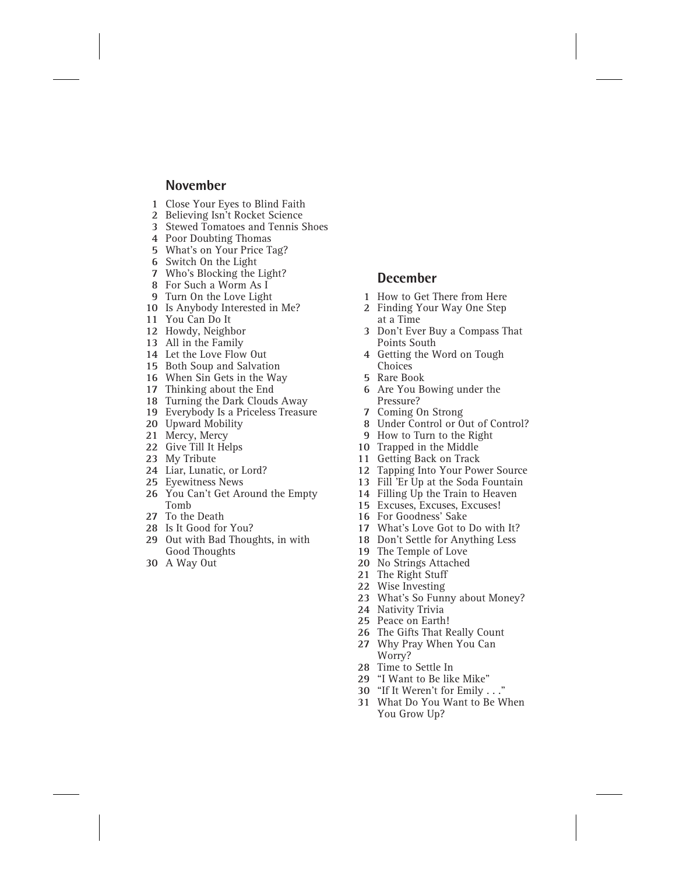### **November**

- Close Your Eyes to Blind Faith
- Believing Isn't Rocket Science
- Stewed Tomatoes and Tennis Shoes
- Poor Doubting Thomas
- What's on Your Price Tag?
- Switch On the Light
- Who's Blocking the Light?
- For Such a Worm As I
- Turn On the Love Light
- Is Anybody Interested in Me?
- You Can Do It
- Howdy, Neighbor
- All in the Family
- Let the Love Flow Out
- Both Soup and Salvation
- When Sin Gets in the Way
- Thinking about the End
- Turning the Dark Clouds Away
- Everybody Is a Priceless Treasure
- Upward Mobility
- Mercy, Mercy
- Give Till It Helps
- My Tribute
- Liar, Lunatic, or Lord?
- Eyewitness News
- You Can't Get Around the Empty Tomb
- To the Death
- Is It Good for You?
- Out with Bad Thoughts, in with Good Thoughts
- A Way Out

## **December**

- How to Get There from Here
- Finding Your Way One Step at a Time
- Don't Ever Buy a Compass That Points South
- Getting the Word on Tough Choices
- Rare Book
- Are You Bowing under the Pressure?
- Coming On Strong
- Under Control or Out of Control?
- How to Turn to the Right
- Trapped in the Middle
- Getting Back on Track
- Tapping Into Your Power Source
- Fill 'Er Up at the Soda Fountain
- Filling Up the Train to Heaven
- Excuses, Excuses, Excuses!
- For Goodness' Sake
- What's Love Got to Do with It?
- Don't Settle for Anything Less
- The Temple of Love
- No Strings Attached
- The Right Stuff
- Wise Investing
- What's So Funny about Money?
- Nativity Trivia
- Peace on Earth!
- The Gifts That Really Count
- Why Pray When You Can Worry?
- Time to Settle In
- "I Want to Be like Mike"
- "If It Weren't for Emily . . ."
- What Do You Want to Be When You Grow Up?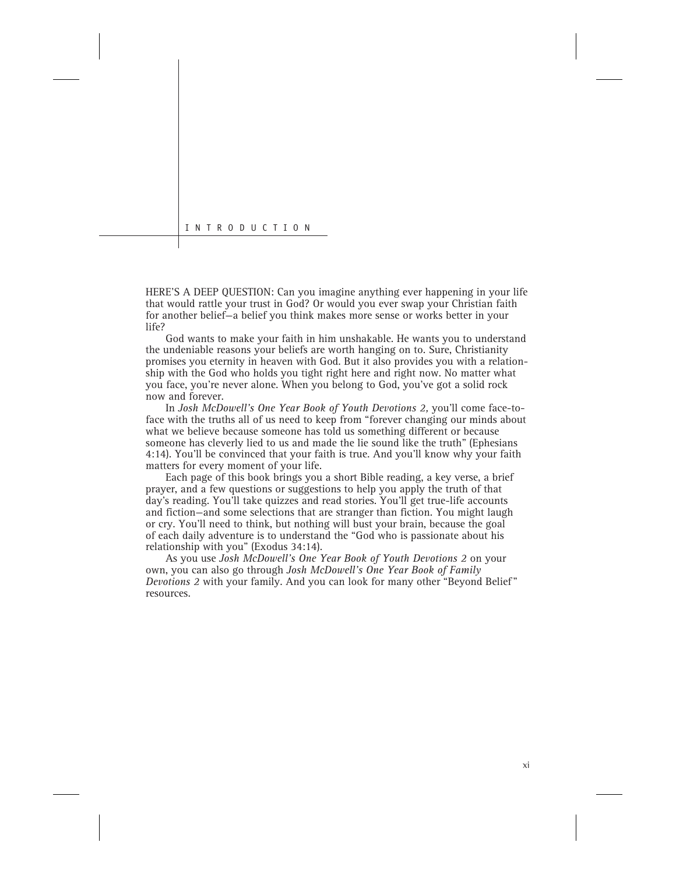INTRODUCTION

HERE'S A DEEP QUESTION: Can you imagine anything ever happening in your life that would rattle your trust in God? Or would you ever swap your Christian faith for another belief—a belief you think makes more sense or works better in your life?

God wants to make your faith in him unshakable. He wants you to understand the undeniable reasons your beliefs are worth hanging on to. Sure, Christianity promises you eternity in heaven with God. But it also provides you with a relationship with the God who holds you tight right here and right now. No matter what you face, you're never alone. When you belong to God, you've got a solid rock now and forever.

In *Josh McDowell's One Year Book of Youth Devotions 2,* you'll come face-toface with the truths all of us need to keep from "forever changing our minds about what we believe because someone has told us something different or because someone has cleverly lied to us and made the lie sound like the truth" (Ephesians 4:14). You'll be convinced that your faith is true. And you'll know why your faith matters for every moment of your life.

Each page of this book brings you a short Bible reading, a key verse, a brief prayer, and a few questions or suggestions to help you apply the truth of that day's reading. You'll take quizzes and read stories. You'll get true-life accounts and fiction—and some selections that are stranger than fiction. You might laugh or cry. You'll need to think, but nothing will bust your brain, because the goal of each daily adventure is to understand the "God who is passionate about his relationship with you" (Exodus 34:14).

As you use *Josh McDowell's One Year Book of Youth Devotions 2* on your own, you can also go through *Josh McDowell's One Year Book of Family Devotions 2* with your family. And you can look for many other "Beyond Belief" resources.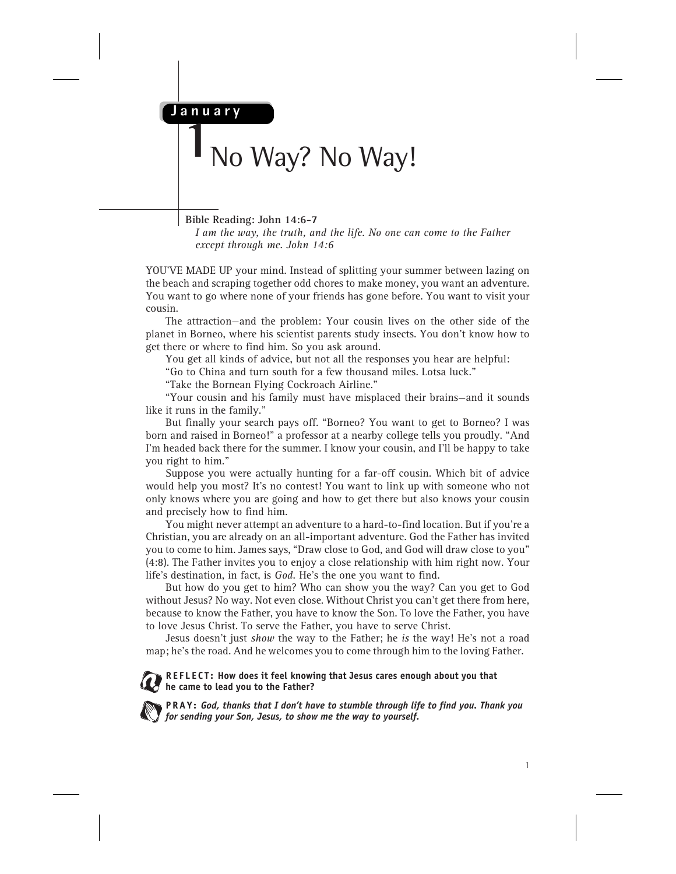# **1**No Way? No Way!

**Bible Reading: John 14:6-7**

*I am the way, the truth, and the life. No one can come to the Father except through me. John 14:6*

YOU'VE MADE UP your mind. Instead of splitting your summer between lazing on the beach and scraping together odd chores to make money, you want an adventure. You want to go where none of your friends has gone before. You want to visit your cousin.

The attraction—and the problem: Your cousin lives on the other side of the planet in Borneo, where his scientist parents study insects. You don't know how to get there or where to find him. So you ask around.

You get all kinds of advice, but not all the responses you hear are helpful:

"Go to China and turn south for a few thousand miles. Lotsa luck."

"Take the Bornean Flying Cockroach Airline."

"Your cousin and his family must have misplaced their brains—and it sounds like it runs in the family."

But finally your search pays off. "Borneo? You want to get to Borneo? I was born and raised in Borneo!" a professor at a nearby college tells you proudly. "And I'm headed back there for the summer. I know your cousin, and I'll be happy to take you right to him."

Suppose you were actually hunting for a far-off cousin. Which bit of advice would help you most? It's no contest! You want to link up with someone who not only knows where you are going and how to get there but also knows your cousin and precisely how to find him.

You might never attempt an adventure to a hard-to-find location. But if you're a Christian, you are already on an all-important adventure. God the Father has invited you to come to him. James says, "Draw close to God, and God will draw close to you" (4:8). The Father invites you to enjoy a close relationship with him right now. Your life's destination, in fact, is *God.* He's the one you want to find.

But how do you get to him? Who can show you the way? Can you get to God without Jesus? No way. Not even close. Without Christ you can't get there from here, because to know the Father, you have to know the Son. To love the Father, you have to love Jesus Christ. To serve the Father, you have to serve Christ.

Jesus doesn't just *show* the way to the Father; he *is* the way! He's not a road map; he's the road. And he welcomes you to come through him to the loving Father.

#### **REFLECT: How does it feel knowing that Jesus cares enough about you that he came to lead you to the Father?**



**PRAY:** *God, thanks that I don't have to stumble through life to find you. Thank you for sending your Son, Jesus, to show me the way to yourself.*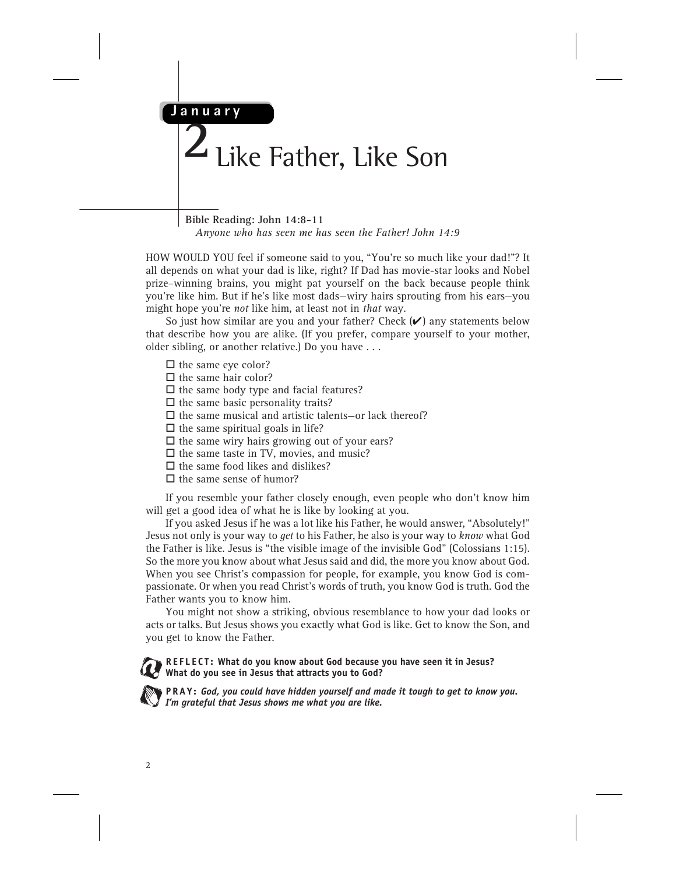# **2**Like Father, Like Son

**Bible Reading: John 14:8-11** *Anyone who has seen me has seen the Father! John 14:9*

HOW WOULD YOU feel if someone said to you, "You're so much like your dad!"? It all depends on what your dad is like, right? If Dad has movie-star looks and Nobel prize–winning brains, you might pat yourself on the back because people think you're like him. But if he's like most dads—wiry hairs sprouting from his ears—you might hope you're *not* like him, at least not in *that* way.

So just how similar are you and your father? Check  $(\vee)$  any statements below that describe how you are alike. (If you prefer, compare yourself to your mother, older sibling, or another relative.) Do you have . . .

- $\Box$  the same eye color?
- $\Box$  the same hair color?
- $\Box$  the same body type and facial features?
- $\Box$  the same basic personality traits?
- $\Box$  the same musical and artistic talents—or lack thereof?
- $\Box$  the same spiritual goals in life?
- $\Box$  the same wiry hairs growing out of your ears?
- $\Box$  the same taste in TV, movies, and music?
- $\Box$  the same food likes and dislikes?
- $\Box$  the same sense of humor?

If you resemble your father closely enough, even people who don't know him will get a good idea of what he is like by looking at you.

If you asked Jesus if he was a lot like his Father, he would answer, "Absolutely!" Jesus not only is your way to *get* to his Father, he also is your way to *know* what God the Father is like. Jesus is "the visible image of the invisible God" (Colossians 1:15). So the more you know about what Jesus said and did, the more you know about God. When you see Christ's compassion for people, for example, you know God is compassionate. Or when you read Christ's words of truth, you know God is truth. God the Father wants you to know him.

You might not show a striking, obvious resemblance to how your dad looks or acts or talks. But Jesus shows you exactly what God is like. Get to know the Son, and you get to know the Father.





**PRAY:** *God, you could have hidden yourself and made it tough to get to know you. I'm grateful that Jesus shows me what you are like.*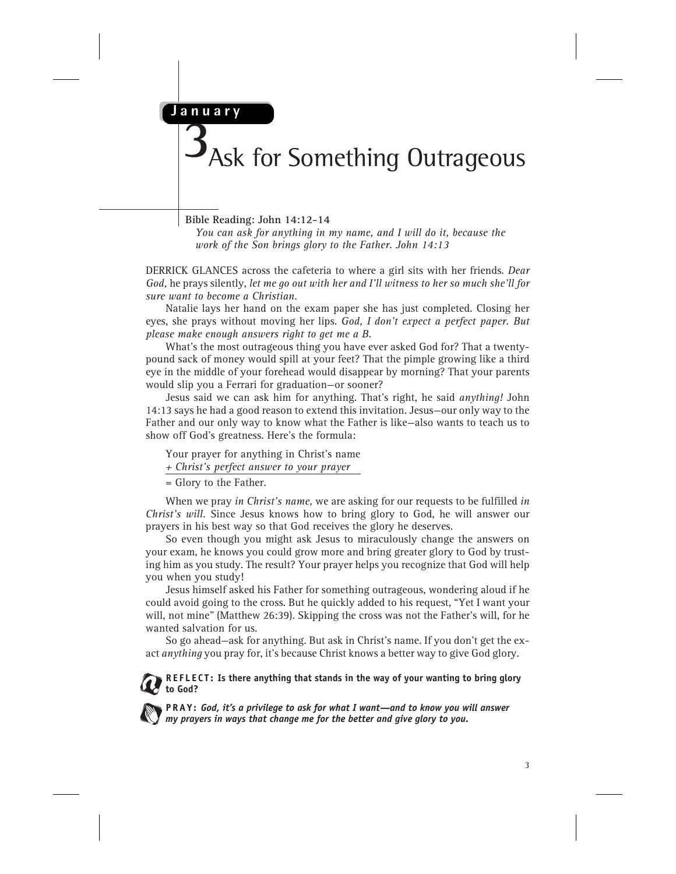# **3**Ask for Something Outrageous

**Bible Reading: John 14:12-14**

*You can ask for anything in my name, and I will do it, because the work of the Son brings glory to the Father. John 14:13*

DERRICK GLANCES across the cafeteria to where a girl sits with her friends. *Dear God,* he prays silently, *let me go out with her and I'll witness to her so much she'll for sure want to become a Christian.*

Natalie lays her hand on the exam paper she has just completed. Closing her eyes, she prays without moving her lips. *God, I don't expect a perfect paper. But please make enough answers right to get me a B.*

What's the most outrageous thing you have ever asked God for? That a twentypound sack of money would spill at your feet? That the pimple growing like a third eye in the middle of your forehead would disappear by morning? That your parents would slip you a Ferrari for graduation—or sooner?

Jesus said we can ask him for anything. That's right, he said *anything!* John 14:13 says he had a good reason to extend this invitation. Jesus—our only way to the Father and our only way to know what the Father is like—also wants to teach us to show off God's greatness. Here's the formula:

Your prayer for anything in Christ's name

*+ Christ's perfect answer to your prayer*

= Glory to the Father.

When we pray *in Christ's name,* we are asking for our requests to be fulfilled *in Christ's will.* Since Jesus knows how to bring glory to God, he will answer our prayers in his best way so that God receives the glory he deserves.

So even though you might ask Jesus to miraculously change the answers on your exam, he knows you could grow more and bring greater glory to God by trusting him as you study. The result? Your prayer helps you recognize that God will help you when you study!

Jesus himself asked his Father for something outrageous, wondering aloud if he could avoid going to the cross. But he quickly added to his request, "Yet I want your will, not mine" (Matthew 26:39). Skipping the cross was not the Father's will, for he wanted salvation for us.

So go ahead—ask for anything. But ask in Christ's name. If you don't get the exact *anything* you pray for, it's because Christ knows a better way to give God glory.

#### **R E F L E C T : Is there anything that stands in the way of your wanting to bring glory to God?**



**PRAY:** *God, it's a privilege to ask for what I want—and to know you will answer my prayers in ways that change me for the better and give glory to you.*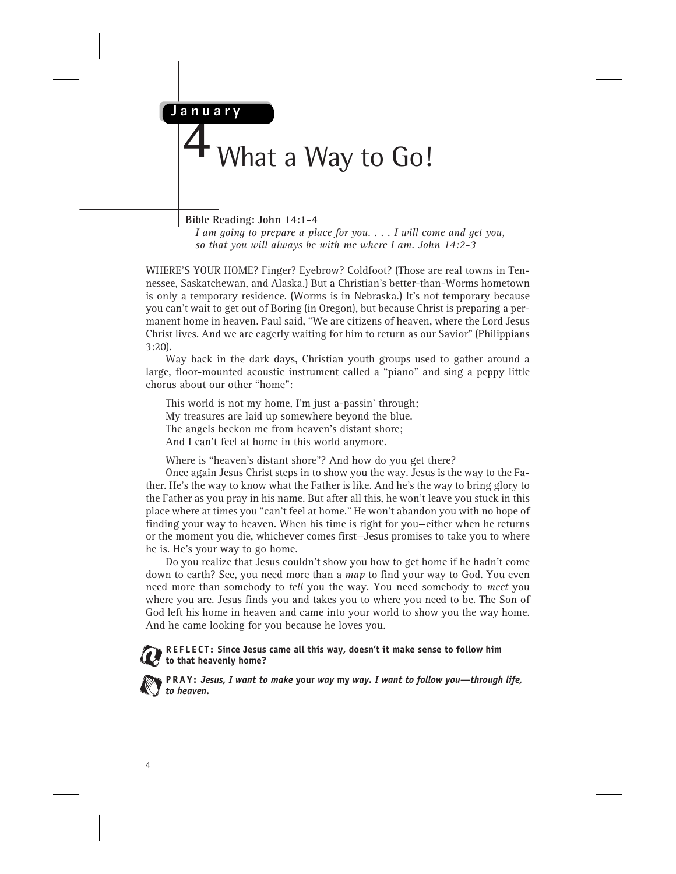# **4** What a Way to Go!

**Bible Reading: John 14:1-4**

*I am going to prepare a place for you. . . . I will come and get you, so that you will always be with me where I am. John 14:2-3*

WHERE'S YOUR HOME? Finger? Eyebrow? Coldfoot? (Those are real towns in Tennessee, Saskatchewan, and Alaska.) But a Christian's better-than-Worms hometown is only a temporary residence. (Worms is in Nebraska.) It's not temporary because you can't wait to get out of Boring (in Oregon), but because Christ is preparing a permanent home in heaven. Paul said, "We are citizens of heaven, where the Lord Jesus Christ lives. And we are eagerly waiting for him to return as our Savior" (Philippians 3:20).

Way back in the dark days, Christian youth groups used to gather around a large, floor-mounted acoustic instrument called a "piano" and sing a peppy little chorus about our other "home":

This world is not my home, I'm just a-passin' through; My treasures are laid up somewhere beyond the blue. The angels beckon me from heaven's distant shore; And I can't feel at home in this world anymore.

Where is "heaven's distant shore"? And how do you get there?

Once again Jesus Christ steps in to show you the way. Jesus is the way to the Father. He's the way to know what the Father is like. And he's the way to bring glory to the Father as you pray in his name. But after all this, he won't leave you stuck in this place where at times you "can't feel at home." He won't abandon you with no hope of finding your way to heaven. When his time is right for you—either when he returns or the moment you die, whichever comes first—Jesus promises to take you to where he is. He's your way to go home.

Do you realize that Jesus couldn't show you how to get home if he hadn't come down to earth? See, you need more than a *map* to find your way to God. You even need more than somebody to *tell* you the way. You need somebody to *meet* you where you are. Jesus finds you and takes you to where you need to be. The Son of God left his home in heaven and came into your world to show you the way home. And he came looking for you because he loves you.

### **REFLECT: Since Jesus came all this way, doesn't it make sense to follow him to that heavenly home?**



**PRAY:** *Jesus, I want to make* **your** *way* **my** *way. I want to follow you—through life, to heaven.*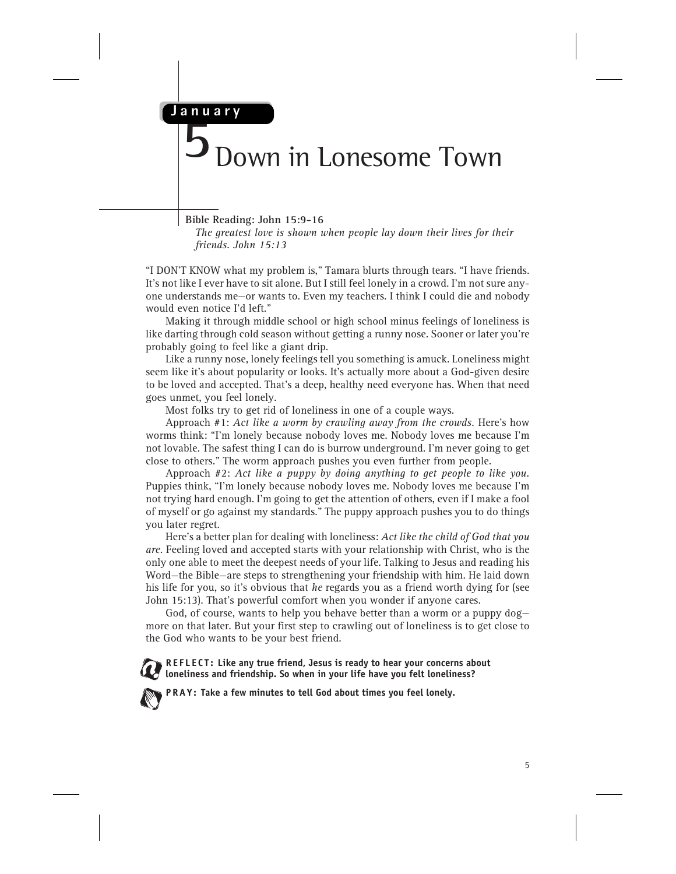# **5**Down in Lonesome Town

**Bible Reading: John 15:9-16**

*The greatest love is shown when people lay down their lives for their friends. John 15:13*

"I DON'T KNOW what my problem is," Tamara blurts through tears. "I have friends. It's not like I ever have to sit alone. But I still feel lonely in a crowd. I'm not sure anyone understands me—or wants to. Even my teachers. I think I could die and nobody would even notice I'd left."

Making it through middle school or high school minus feelings of loneliness is like darting through cold season without getting a runny nose. Sooner or later you're probably going to feel like a giant drip.

Like a runny nose, lonely feelings tell you something is amuck. Loneliness might seem like it's about popularity or looks. It's actually more about a God-given desire to be loved and accepted. That's a deep, healthy need everyone has. When that need goes unmet, you feel lonely.

Most folks try to get rid of loneliness in one of a couple ways.

Approach #1: *Act like a worm by crawling away from the crowds.* Here's how worms think: "I'm lonely because nobody loves me. Nobody loves me because I'm not lovable. The safest thing I can do is burrow underground. I'm never going to get close to others." The worm approach pushes you even further from people.

Approach #2: *Act like a puppy by doing anything to get people to like you.* Puppies think, "I'm lonely because nobody loves me. Nobody loves me because I'm not trying hard enough. I'm going to get the attention of others, even if I make a fool of myself or go against my standards." The puppy approach pushes you to do things you later regret.

Here's a better plan for dealing with loneliness: *Act like the child of God that you are.* Feeling loved and accepted starts with your relationship with Christ, who is the only one able to meet the deepest needs of your life. Talking to Jesus and reading his Word—the Bible—are steps to strengthening your friendship with him. He laid down his life for you, so it's obvious that *he* regards you as a friend worth dying for (see John 15:13). That's powerful comfort when you wonder if anyone cares.

God, of course, wants to help you behave better than a worm or a puppy dog more on that later. But your first step to crawling out of loneliness is to get close to the God who wants to be your best friend.

**REFLECT: Like any true friend, Jesus is ready to hear your concerns about loneliness and friendship. So when in your life have you felt loneliness?**



**PRAY: Take a few minutes to tell God about times you feel lonely.**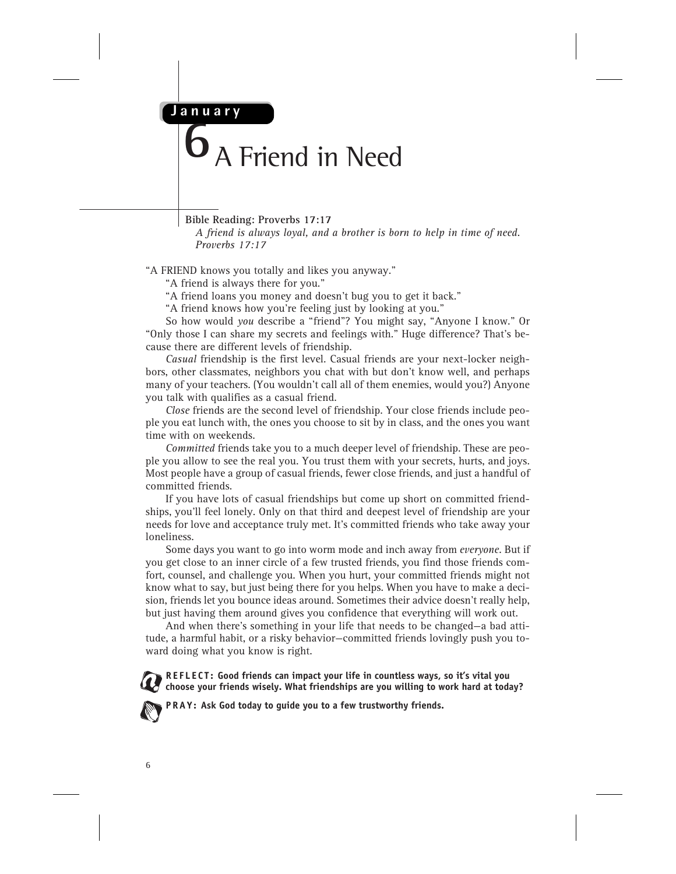# **6**A Friend in Need

### **Bible Reading: Proverbs 17:17**

*A friend is always loyal, and a brother is born to help in time of need. Proverbs 17:17*

"A FRIEND knows you totally and likes you anyway."

- "A friend is always there for you."
- "A friend loans you money and doesn't bug you to get it back."
- "A friend knows how you're feeling just by looking at you."

So how would *you* describe a "friend"? You might say, "Anyone I know." Or "Only those I can share my secrets and feelings with." Huge difference? That's because there are different levels of friendship.

*Casual* friendship is the first level. Casual friends are your next-locker neighbors, other classmates, neighbors you chat with but don't know well, and perhaps many of your teachers. (You wouldn't call all of them enemies, would you?) Anyone you talk with qualifies as a casual friend.

*Close* friends are the second level of friendship. Your close friends include people you eat lunch with, the ones you choose to sit by in class, and the ones you want time with on weekends.

*Committed* friends take you to a much deeper level of friendship. These are people you allow to see the real you. You trust them with your secrets, hurts, and joys. Most people have a group of casual friends, fewer close friends, and just a handful of committed friends.

If you have lots of casual friendships but come up short on committed friendships, you'll feel lonely. Only on that third and deepest level of friendship are your needs for love and acceptance truly met. It's committed friends who take away your loneliness.

Some days you want to go into worm mode and inch away from *everyone.* But if you get close to an inner circle of a few trusted friends, you find those friends comfort, counsel, and challenge you. When you hurt, your committed friends might not know what to say, but just being there for you helps. When you have to make a decision, friends let you bounce ideas around. Sometimes their advice doesn't really help, but just having them around gives you confidence that everything will work out.

And when there's something in your life that needs to be changed—a bad attitude, a harmful habit, or a risky behavior—committed friends lovingly push you toward doing what you know is right.

**REFLECT: Good friends can impact your life in countless ways, so it's vital you choose your friends wisely. What friendships are you willing to work hard at today?**

**PRAY: Ask God today to guide you to a few trustworthy friends.**